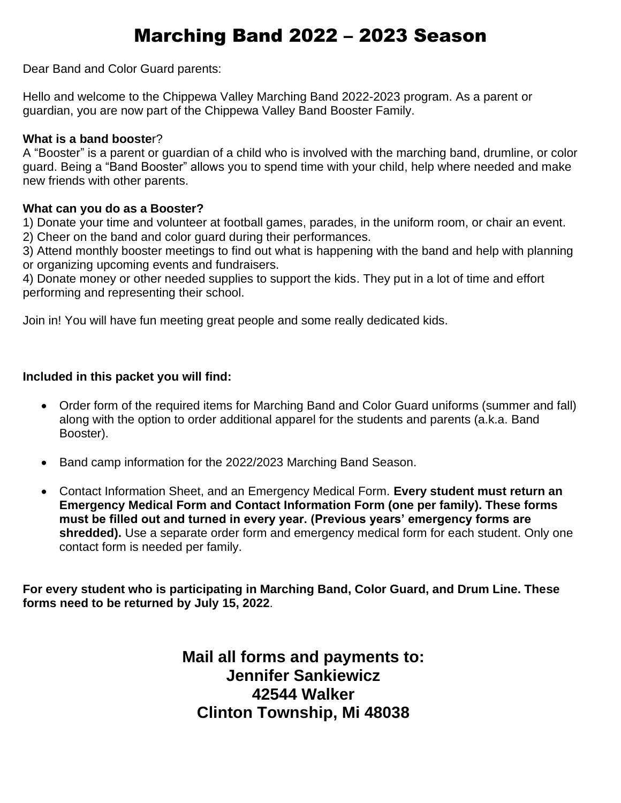## Marching Band 2022 – 2023 Season

Dear Band and Color Guard parents:

Hello and welcome to the Chippewa Valley Marching Band 2022-2023 program. As a parent or guardian, you are now part of the Chippewa Valley Band Booster Family.

#### **What is a band booste**r?

A "Booster" is a parent or guardian of a child who is involved with the marching band, drumline, or color guard. Being a "Band Booster" allows you to spend time with your child, help where needed and make new friends with other parents.

#### **What can you do as a Booster?**

1) Donate your time and volunteer at football games, parades, in the uniform room, or chair an event. 2) Cheer on the band and color guard during their performances.

3) Attend monthly booster meetings to find out what is happening with the band and help with planning or organizing upcoming events and fundraisers.

4) Donate money or other needed supplies to support the kids. They put in a lot of time and effort performing and representing their school.

Join in! You will have fun meeting great people and some really dedicated kids.

#### **Included in this packet you will find:**

- Order form of the required items for Marching Band and Color Guard uniforms (summer and fall) along with the option to order additional apparel for the students and parents (a.k.a. Band Booster).
- Band camp information for the 2022/2023 Marching Band Season.
- Contact Information Sheet, and an Emergency Medical Form. **Every student must return an Emergency Medical Form and Contact Information Form (one per family). These forms must be filled out and turned in every year. (Previous years' emergency forms are shredded).** Use a separate order form and emergency medical form for each student. Only one contact form is needed per family.

**For every student who is participating in Marching Band, Color Guard, and Drum Line. These forms need to be returned by July 15, 2022**.

> **Mail all forms and payments to: Jennifer Sankiewicz 42544 Walker Clinton Township, Mi 48038**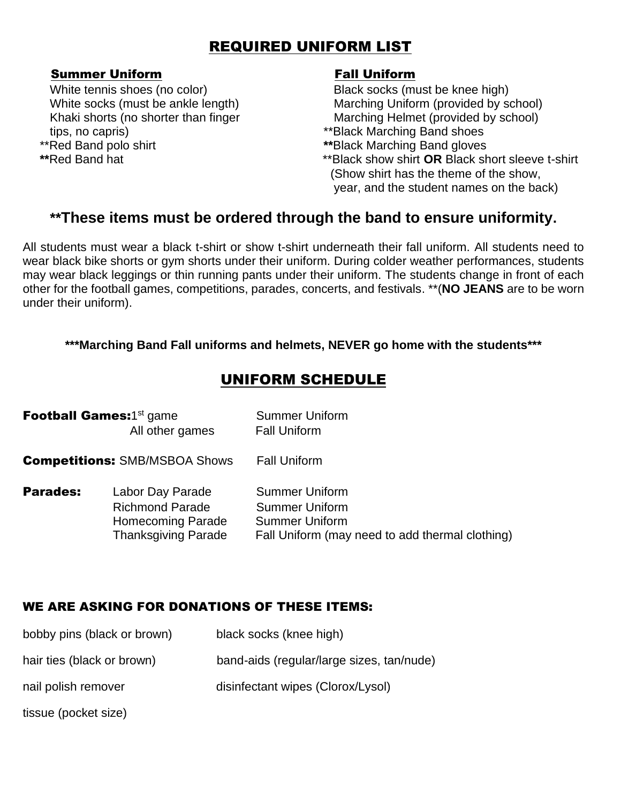## REQUIRED UNIFORM LIST

### Summer Uniform **Fall Uniform**

White tennis shoes (no color) Black socks (must be knee high) tips, no capris)  $**B$ lack Marching Band shoes \*\*Red Band polo shirt **\*\***Black Marching Band gloves

White socks (must be ankle length) Marching Uniform (provided by school) Khaki shorts (no shorter than finger Marching Helmet (provided by school)

- 
- **\*\***Red Band hat \*\*Black show shirt **OR** Black short sleeve t-shirt (Show shirt has the theme of the show, year, and the student names on the back)

## **\*\*These items must be ordered through the band to ensure uniformity.**

All students must wear a black t-shirt or show t-shirt underneath their fall uniform. All students need to wear black bike shorts or gym shorts under their uniform. During colder weather performances, students may wear black leggings or thin running pants under their uniform. The students change in front of each other for the football games, competitions, parades, concerts, and festivals. \*\*(**NO JEANS** are to be worn under their uniform).

### **\*\*\*Marching Band Fall uniforms and helmets, NEVER go home with the students\*\*\***

## UNIFORM SCHEDULE

|                                      | <b>Football Games:1st game</b><br>All other games                                                    | <b>Summer Uniform</b><br><b>Fall Uniform</b>                                                                               |
|--------------------------------------|------------------------------------------------------------------------------------------------------|----------------------------------------------------------------------------------------------------------------------------|
| <b>Competitions: SMB/MSBOA Shows</b> |                                                                                                      | <b>Fall Uniform</b>                                                                                                        |
| <b>Parades:</b>                      | Labor Day Parade<br><b>Richmond Parade</b><br><b>Homecoming Parade</b><br><b>Thanksgiving Parade</b> | <b>Summer Uniform</b><br><b>Summer Uniform</b><br><b>Summer Uniform</b><br>Fall Uniform (may need to add thermal clothing) |

## WE ARE ASKING FOR DONATIONS OF THESE ITEMS:

| bobby pins (black or brown) | black socks (knee high)                   |
|-----------------------------|-------------------------------------------|
| hair ties (black or brown)  | band-aids (regular/large sizes, tan/nude) |
| nail polish remover         | disinfectant wipes (Clorox/Lysol)         |
| tissue (pocket size)        |                                           |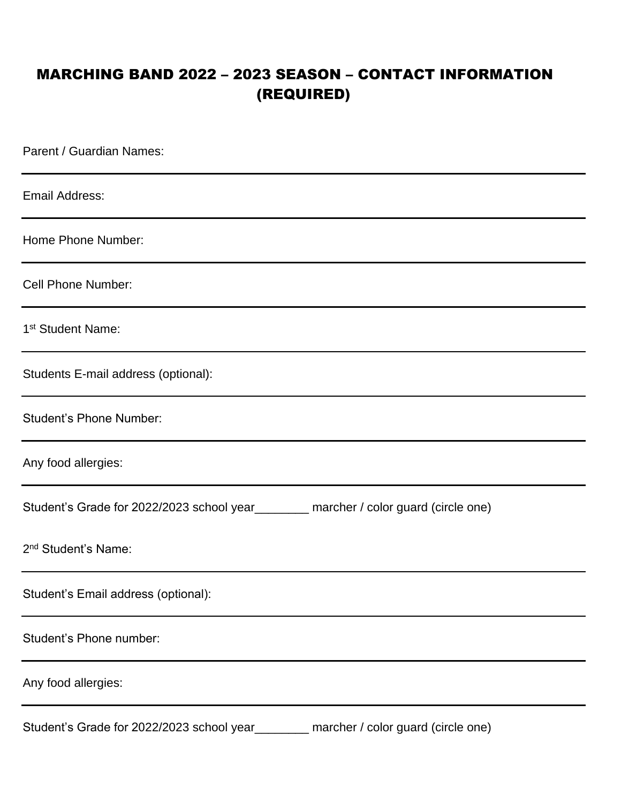## MARCHING BAND 2022 – 2023 SEASON – CONTACT INFORMATION (REQUIRED)

Parent / Guardian Names: Email Address: Home Phone Number: Cell Phone Number: 1<sup>st</sup> Student Name: Students E-mail address (optional): Student's Phone Number: Any food allergies: Student's Grade for 2022/2023 school year\_\_\_\_\_\_\_\_ marcher / color guard (circle one) 2<sup>nd</sup> Student's Name: Student's Email address (optional): Student's Phone number: Any food allergies: Student's Grade for 2022/2023 school year\_\_\_\_\_\_\_\_ marcher / color guard (circle one)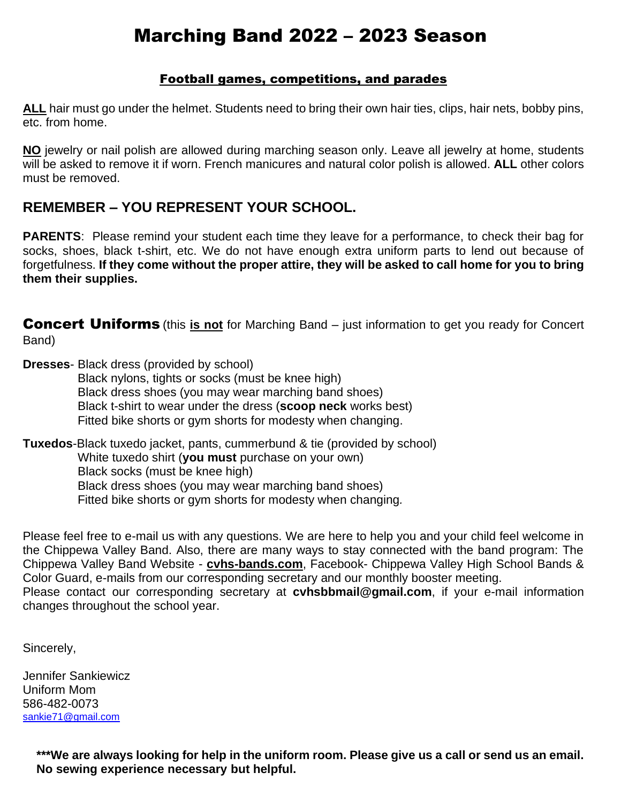## Marching Band 2022 – 2023 Season

### Football games, competitions, and parades

**ALL** hair must go under the helmet. Students need to bring their own hair ties, clips, hair nets, bobby pins, etc. from home.

**NO** jewelry or nail polish are allowed during marching season only. Leave all jewelry at home, students will be asked to remove it if worn. French manicures and natural color polish is allowed. **ALL** other colors must be removed.

## **REMEMBER – YOU REPRESENT YOUR SCHOOL.**

**PARENTS**: Please remind your student each time they leave for a performance, to check their bag for socks, shoes, black t-shirt, etc. We do not have enough extra uniform parts to lend out because of forgetfulness. **If they come without the proper attire, they will be asked to call home for you to bring them their supplies.**

Concert Uniforms (this **is not** for Marching Band – just information to get you ready for Concert Band)

**Dresses**- Black dress (provided by school) Black nylons, tights or socks (must be knee high) Black dress shoes (you may wear marching band shoes) Black t-shirt to wear under the dress (**scoop neck** works best) Fitted bike shorts or gym shorts for modesty when changing.

**Tuxedos**-Black tuxedo jacket, pants, cummerbund & tie (provided by school) White tuxedo shirt (**you must** purchase on your own) Black socks (must be knee high) Black dress shoes (you may wear marching band shoes) Fitted bike shorts or gym shorts for modesty when changing*.*

Please feel free to e-mail us with any questions. We are here to help you and your child feel welcome in the Chippewa Valley Band. Also, there are many ways to stay connected with the band program: The Chippewa Valley Band Website - **cvhs-bands.com**, Facebook- Chippewa Valley High School Bands & Color Guard, e-mails from our corresponding secretary and our monthly booster meeting. Please contact our corresponding secretary at **cvhsbbmail@gmail.com**, if your e-mail information changes throughout the school year.

Sincerely,

Jennifer Sankiewicz Uniform Mom 586-482-0073 [sankie71@gmail.com](mailto:sankie71@gmail.com) 

> **\*\*\*We are always looking for help in the uniform room. Please give us a call or send us an email. No sewing experience necessary but helpful.**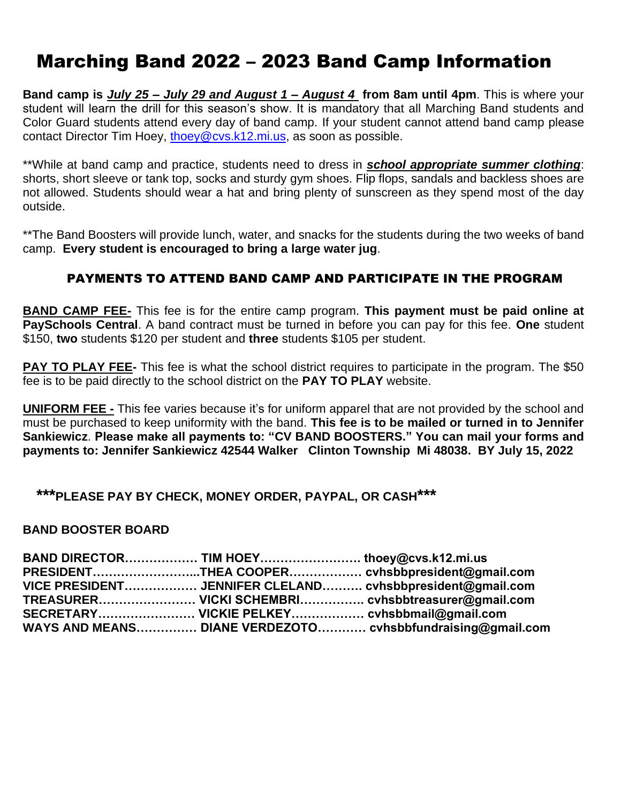## Marching Band 2022 – 2023 Band Camp Information

**Band camp is** *July 25 – July 29 and August 1 – August 4* **from 8am until 4pm**. This is where your student will learn the drill for this season's show. It is mandatory that all Marching Band students and Color Guard students attend every day of band camp. If your student cannot attend band camp please contact Director Tim Hoey, [thoey@cvs.k12.mi.us,](mailto:thoey@cvs.k12.mi.us) as soon as possible.

\*\*While at band camp and practice, students need to dress in *school appropriate summer clothing*: shorts, short sleeve or tank top, socks and sturdy gym shoes. Flip flops, sandals and backless shoes are not allowed. Students should wear a hat and bring plenty of sunscreen as they spend most of the day outside.

\*\*The Band Boosters will provide lunch, water, and snacks for the students during the two weeks of band camp. **Every student is encouraged to bring a large water jug**.

### PAYMENTS TO ATTEND BAND CAMP AND PARTICIPATE IN THE PROGRAM

**BAND CAMP FEE-** This fee is for the entire camp program. **This payment must be paid online at PaySchools Central**. A band contract must be turned in before you can pay for this fee. **One** student \$150, **two** students \$120 per student and **three** students \$105 per student.

**PAY TO PLAY FEE-** This fee is what the school district requires to participate in the program. The \$50 fee is to be paid directly to the school district on the **PAY TO PLAY** website.

**UNIFORM FEE -** This fee varies because it's for uniform apparel that are not provided by the school and must be purchased to keep uniformity with the band. **This fee is to be mailed or turned in to Jennifer Sankiewicz**. **Please make all payments to: "CV BAND BOOSTERS." You can mail your forms and payments to: Jennifer Sankiewicz 42544 Walker Clinton Township Mi 48038. BY July 15, 2022**

### **\*\*\*PLEASE PAY BY CHECK, MONEY ORDER, PAYPAL, OR CASH\*\*\***

#### **BAND BOOSTER BOARD**

| BAND DIRECTOR TIM HOEY thoey@cvs.k12.mi.us   |                                                            |
|----------------------------------------------|------------------------------------------------------------|
|                                              | PRESIDENTTHEA COOPER cvhsbbpresident@gmail.com             |
|                                              | VICE PRESIDENT JENNIFER CLELAND cvhsbbpresident@gmail.com  |
|                                              | TREASURER VICKI SCHEMBRI cvhsbbtreasurer@gmail.com         |
| SECRETARY VICKIE PELKEY cvhsbbmail@gmail.com |                                                            |
|                                              | WAYS AND MEANS DIANE VERDEZOTO cvhsbbfundraising@gmail.com |